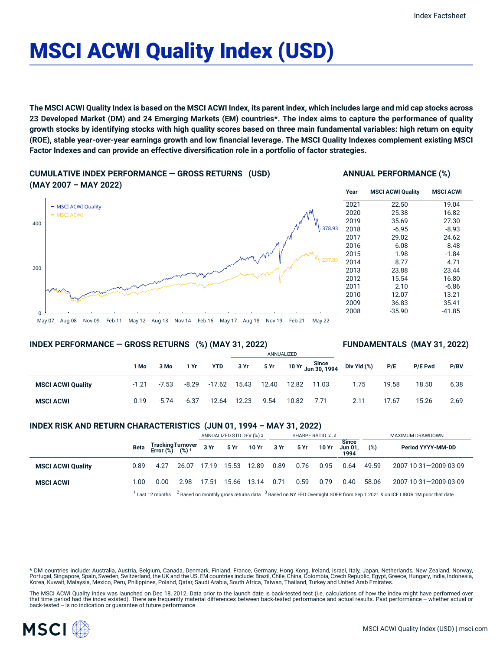# MSCI ACWI Quality Index (USD)

The MSCI ACWI Quality Index is based on the MSCI ACWI Index, its parent index, which includes large and mid cap stocks across 23 Developed Market (DM) and 24 Emerging Markets (EM) countries\*. The index aims to capture the performance of quality growth stocks by identifying stocks with high quality scores based on three main fundamental variables: high return on equity (ROE), stable year-over-year earnings growth and low financial leverage. The MSCI Quality Indexes complement existing MSCI **Factor Indexes and can provide an effective diversification role in a portfolio of factor strategies.**

**CUMULATIVE INDEX PERFORMANCE — GROSS RETURNS (USD) (MAY 2007 – MAY 2022)**





#### **Year MSCI ACWI Quality MSCI ACWI** 2021 22.50 19.04 2020 25.38 16.82 2019 35.69 27.30 2018 -6.95 -8.93 2017 29.02 24.62 2016 6.08 8.48 2015 1.98 -1.84 2014 8.77 4.71 2013 23.88 23.44 2012 15.54 16.80 2011 2.10 -6.86 2010 12.07 13.21 2009 36.83 35.41 2008 -35.90 -41.85

## **INDEX PERFORMANCE — GROSS RETURNS (%) (MAY 31, 2022)**

## **FUNDAMENTALS (MAY 31, 2022)**

|                          |         |         |         |                    | ANNUALIZED |                     |            |  |                                                                         |       |                |      |
|--------------------------|---------|---------|---------|--------------------|------------|---------------------|------------|--|-------------------------------------------------------------------------|-------|----------------|------|
|                          | 1 Mo    | 3 Mo    | 1 Yr    | YTD                | 3Yr        |                     |            |  | $5 Yr$ 10 Yr $\frac{\text{Since}}{\text{Jun } 30, 1994}$ Div Yld $\%$ ) | P/E   | <b>P/E Fwd</b> | P/BV |
| <b>MSCI ACWI Quality</b> | $-1.21$ | $-7.53$ |         | -8.29 -17.62 15.43 |            | 12.40  12.82  11.03 |            |  | 1.75                                                                    | 19.58 | 18.50          | 6.38 |
| <b>MSCI ACWI</b>         | 0.19    | $-5.74$ | $-6.37$ | $-12.64$           | 12.23      | 9.54                | 10.82 7.71 |  | 2.11                                                                    | 17.67 | 15.26          | 2.69 |

## **INDEX RISK AND RETURN CHARACTERISTICS (JUN 01, 1994 – MAY 31, 2022)**

|                          |      |                                                                                                                                                 |       | ANNUALIZED STD DEV (%) 2 |       |            | SHARPE RATIO 2,3 |      |       |                                 | MAXIMUM DRAWDOWN |                       |  |
|--------------------------|------|-------------------------------------------------------------------------------------------------------------------------------------------------|-------|--------------------------|-------|------------|------------------|------|-------|---------------------------------|------------------|-----------------------|--|
|                          | Beta | Tracking Turnover<br>Error (%) (%) <sup>1</sup>                                                                                                 |       | 3 Yr                     |       | 5 Yr 10 Yr | 3 Yr             | 5 Yr | 10 Yr | <b>Since</b><br>Jun 01.<br>1994 | (%)              | Period YYYY-MM-DD     |  |
| <b>MSCI ACWI Quality</b> | 0.89 | 4.27                                                                                                                                            | 26.07 | 17.19                    | 15.53 | 12.89      | 0.89             | 0.76 | 0.95  | 0.64                            | 49.59            | 2007-10-31-2009-03-09 |  |
| <b>MSCI ACWI</b>         | 1.00 | 0.00                                                                                                                                            | 2.98  | 17.51                    | 15.66 | 13.14      | 0.71             | 0.59 | 0.79  | 0.40                            | 58.06            | 2007-10-31-2009-03-09 |  |
|                          |      | $12$ Based on monthly gross returns data $3$ Based on NY FED Overnight SOFR from Sep 1 2021 & on ICE LIBOR 1M prior that date<br>Last 12 months |       |                          |       |            |                  |      |       |                                 |                  |                       |  |

\* DM countries include: Australia, Austria, Belgium, Canada, Denmark, Finland, France, Germany, Hong Kong, Ireland, Israel, Italy, Japan, Netherlands, New Zealand, Norway, Portugal, Singapore, Spain, Sweden, Switzerland, the UK and the US. EM countries include: Brazil, Chile, China, Colombia, Czech Republic, Egypt, Greece, Hungary, India, Indonesia, Korea, Kuwait, Malaysia, Mexico, Peru, Philippines, Poland, Qatar, Saudi Arabia, South Africa, Taiwan, Thailand, Turkey and United Arab Emirates.

The MSCI ACWI Quality Index was launched on Dec 18, 2012. Data prior to the launch date is back-tested test (i.e. calculations of how the index might have performed over that time period had the index existed). There are frequently material differences between back-tested performance and actual results. Past performance -- whether actual or back-tested -- is no indication or guarantee of future performance.

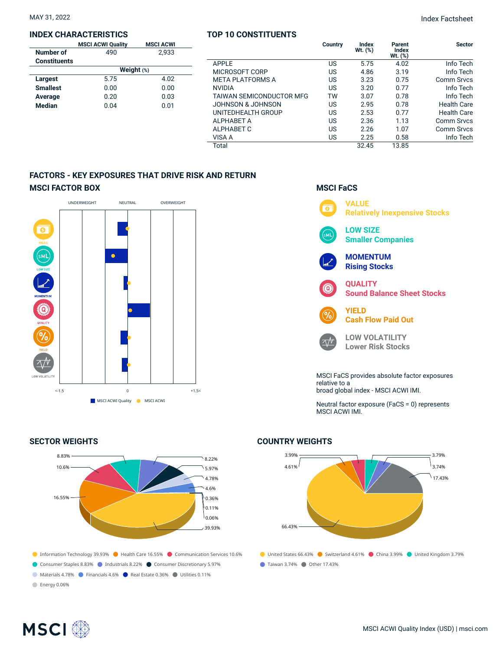#### **INDEX CHARACTERISTICS**

|              | <b>MSCI ACWI</b>         |  |  |  |  |  |  |
|--------------|--------------------------|--|--|--|--|--|--|
| 490          | 2.933                    |  |  |  |  |  |  |
|              |                          |  |  |  |  |  |  |
| Weight $(*)$ |                          |  |  |  |  |  |  |
| 5.75         | 4.02                     |  |  |  |  |  |  |
| 0.00         | 0.00                     |  |  |  |  |  |  |
| 0.20         | 0.03                     |  |  |  |  |  |  |
| 0.04         | 0.01                     |  |  |  |  |  |  |
|              | <b>MSCI ACWI Quality</b> |  |  |  |  |  |  |

## **TOP 10 CONSTITUENTS**

|                                 | Country | Index<br>Wt. (%) | Parent<br><b>Index</b><br>$Wt.$ $(\%)$ | <b>Sector</b>      |
|---------------------------------|---------|------------------|----------------------------------------|--------------------|
| APPLE                           | US      | 5.75             | 4.02                                   | Info Tech          |
| MICROSOFT CORP                  | US.     | 4.86             | 3.19                                   | Info Tech          |
| <b>META PLATFORMS A</b>         | US      | 3.23             | 0.75                                   | <b>Comm Srvcs</b>  |
| <b>NVIDIA</b>                   | US      | 3.20             | 0.77                                   | Info Tech          |
| <b>TAIWAN SEMICONDUCTOR MFG</b> | TW      | 3.07             | 0.78                                   | Info Tech          |
| JOHNSON & JOHNSON               | US      | 2.95             | 0.78                                   | Health Care        |
| UNITEDHEALTH GROUP              | US      | 2.53             | 0.77                                   | <b>Health Care</b> |
| <b>ALPHABET A</b>               | US      | 2.36             | 1.13                                   | Comm Srvcs         |
| ALPHABET C                      | US      | 2.26             | 1.07                                   | <b>Comm Srvcs</b>  |
| VISA A                          | US      | 2.25             | 0.58                                   | Info Tech          |
| Total                           |         | 32.45            | 13.85                                  |                    |

## **FACTORS - KEY EXPOSURES THAT DRIVE RISK AND RETURN MSCI FACTOR BOX**



## **SECTOR WEIGHTS**



## **MSCI FaCS**



Neutral factor exposure (FaCS = 0) represents MSCI ACWI IMI.

## ● United States 66.43% ● Switzerland 4.61% ● China 3.99% ● United Kingdom 3.79% 3.99% 4.61% 66.43% 3.79% 3.74%  $\binom{17.43\%}{ }$

● Taiwan 3.74% ● Other 17.43%

**COUNTRY WEIGHTS**